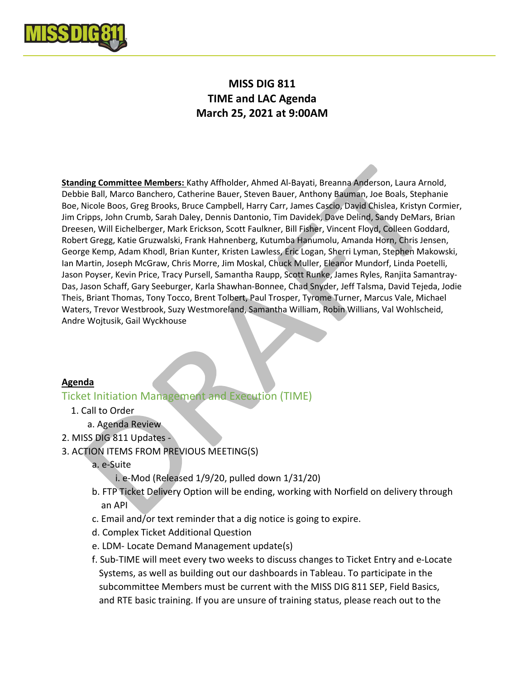

# MISS DIG 811 TIME and LAC Agenda March 25, 2021 at 9:00AM

Standing Committee Members: Kathy Affholder, Ahmed Al-Bayati, Breanna Anderson, Laura Arnold, Debbie Ball, Marco Banchero, Catherine Bauer, Steven Bauer, Anthony Bauman, Joe Boals, Stephanie Boe, Nicole Boos, Greg Brooks, Bruce Campbell, Harry Carr, James Cascio, David Chislea, Kristyn Cormier, Jim Cripps, John Crumb, Sarah Daley, Dennis Dantonio, Tim Davidek, Dave Delind, Sandy DeMars, Brian Dreesen, Will Eichelberger, Mark Erickson, Scott Faulkner, Bill Fisher, Vincent Floyd, Colleen Goddard, Robert Gregg, Katie Gruzwalski, Frank Hahnenberg, Kutumba Hanumolu, Amanda Horn, Chris Jensen, George Kemp, Adam Khodl, Brian Kunter, Kristen Lawless, Eric Logan, Sherri Lyman, Stephen Makowski, Ian Martin, Joseph McGraw, Chris Morre, Jim Moskal, Chuck Muller, Eleanor Mundorf, Linda Poetelli, Jason Poyser, Kevin Price, Tracy Pursell, Samantha Raupp, Scott Runke, James Ryles, Ranjita Samantray-Das, Jason Schaff, Gary Seeburger, Karla Shawhan-Bonnee, Chad Snyder, Jeff Talsma, David Tejeda, Jodie Theis, Briant Thomas, Tony Tocco, Brent Tolbert, Paul Trosper, Tyrome Turner, Marcus Vale, Michael Waters, Trevor Westbrook, Suzy Westmoreland, Samantha William, Robin Willians, Val Wohlscheid, Andre Wojtusik, Gail Wyckhouse

#### Agenda

# Ticket Initiation Management and Execution (TIME)

- 1. Call to Order
	- a. Agenda Review
- 2. MISS DIG 811 Updates -
- 3. ACTION ITEMS FROM PREVIOUS MEETING(S)
	- a. e-Suite
		- i. e-Mod (Released 1/9/20, pulled down 1/31/20)
	- b. FTP Ticket Delivery Option will be ending, working with Norfield on delivery through an API
	- c. Email and/or text reminder that a dig notice is going to expire.
	- d. Complex Ticket Additional Question
	- e. LDM- Locate Demand Management update(s)
	- f. Sub-TIME will meet every two weeks to discuss changes to Ticket Entry and e-Locate Systems, as well as building out our dashboards in Tableau. To participate in the subcommittee Members must be current with the MISS DIG 811 SEP, Field Basics, and RTE basic training. If you are unsure of training status, please reach out to the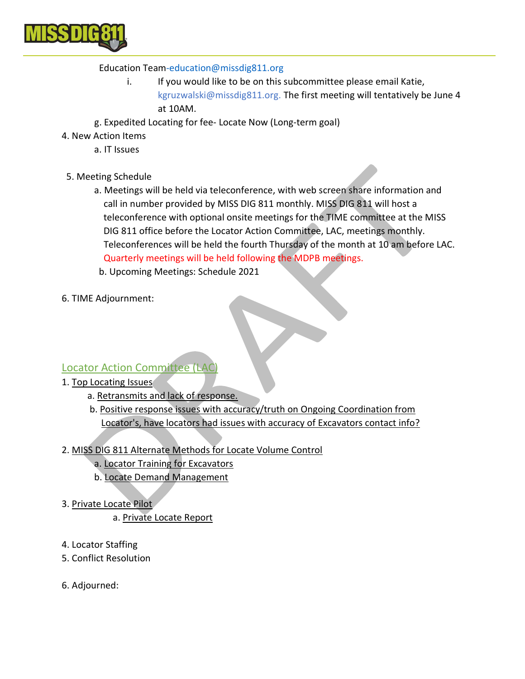

## Education Team-education@missdig811.org

- i. If you would like to be on this subcommittee please email Katie, kgruzwalski@missdig811.org. The first meeting will tentatively be June 4 at 10AM.
- g. Expedited Locating for fee- Locate Now (Long-term goal)
- 4. New Action Items
	- a. IT Issues
- 5. Meeting Schedule
	- a. Meetings will be held via teleconference, with web screen share information and call in number provided by MISS DIG 811 monthly. MISS DIG 811 will host a teleconference with optional onsite meetings for the TIME committee at the MISS DIG 811 office before the Locator Action Committee, LAC, meetings monthly. Teleconferences will be held the fourth Thursday of the month at 10 am before LAC. Quarterly meetings will be held following the MDPB meetings.
	- b. Upcoming Meetings: Schedule 2021
- 6. TIME Adjournment:

## Locator Action Committee (LAC)

- 1. Top Locating Issues
	- a. Retransmits and lack of response.
	- b. Positive response issues with accuracy/truth on Ongoing Coordination from Locator's, have locators had issues with accuracy of Excavators contact info?
- 2. MISS DIG 811 Alternate Methods for Locate Volume Control
	- a. Locator Training for Excavators
	- b. Locate Demand Management
- 3. Private Locate Pilot
	- a. Private Locate Report
- 4. Locator Staffing
- 5. Conflict Resolution
- 6. Adjourned: